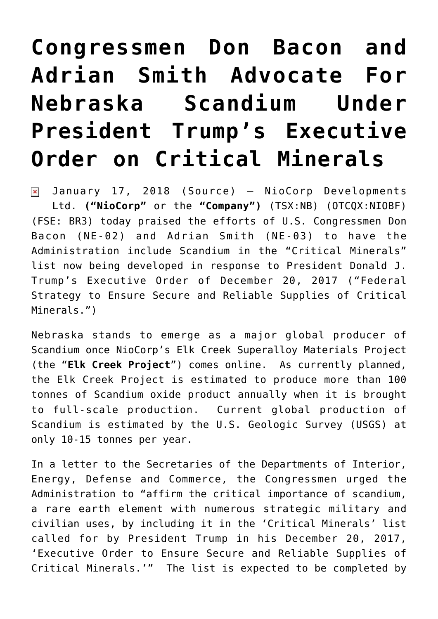## **[Congressmen Don Bacon and](https://investorintel.com/markets/technology-metals/technology-metals-news/congressmen-don-bacon-adrian-smith-advocate-nebraska-scandium-president-trumps-executive-order-critical-minerals/) [Adrian Smith Advocate For](https://investorintel.com/markets/technology-metals/technology-metals-news/congressmen-don-bacon-adrian-smith-advocate-nebraska-scandium-president-trumps-executive-order-critical-minerals/) [Nebraska Scandium Under](https://investorintel.com/markets/technology-metals/technology-metals-news/congressmen-don-bacon-adrian-smith-advocate-nebraska-scandium-president-trumps-executive-order-critical-minerals/) [President Trump's Executive](https://investorintel.com/markets/technology-metals/technology-metals-news/congressmen-don-bacon-adrian-smith-advocate-nebraska-scandium-president-trumps-executive-order-critical-minerals/) [Order on Critical Minerals](https://investorintel.com/markets/technology-metals/technology-metals-news/congressmen-don-bacon-adrian-smith-advocate-nebraska-scandium-president-trumps-executive-order-critical-minerals/)**

January 17, 2018 ([Source\)](https://investorintel.com/iintel-members/niocorp-developments-ltd/) — NioCorp Developments  $\pmb{\times}$ Ltd. **("NioCorp"** or the **"Company")** (TSX:[NB\)](http://www.globenewswire.com/News/Listing?symbol=NB&exchange=12) (OTCQX:NIOBF) (FSE: BR3) today praised the efforts of U.S. Congressmen Don Bacon (NE-02) and Adrian Smith (NE-03) to have the Administration include Scandium in the "Critical Minerals" list now being developed in response to President Donald J. Trump's Executive Order of December 20, 2017 ("[Federal](https://www.globenewswire.com/Tracker?data=ZfEyjVqc1ZH6JJs7tWxg9bskd0MW-EHbNJB0MuO9VnS5InwLrXAJFnmLGt-tEFdJ2nVXEtqPEvRqjRkK9_rCMW68sjgElnT_K5yuU7KyfOQEbmQgpJf8n01xrA5kbX6LcpMFe_7GY94wN_wEAhAUeAE-ID5BYSxJCemiOcbJXgrZ1iAvsfdD_rdqzegvX8TPemKLPbcNAHfRDiLrPOF_bpqsifDF9_d9Aebn6zeDB3UCOGQr68M4RW4KTwOIoTVgwPPGC2VZ8kDqH93QcGpaCgsW4ICmCnUKGPiNflcyIdgMbbmN0r7_LS3zQYsZ0sNf6BPZb8IQ0p6hg_KctLmBQQ==) [Strategy to Ensure Secure and Reliable Supplies of Critical](https://www.globenewswire.com/Tracker?data=ZfEyjVqc1ZH6JJs7tWxg9bskd0MW-EHbNJB0MuO9VnS5InwLrXAJFnmLGt-tEFdJ2nVXEtqPEvRqjRkK9_rCMW68sjgElnT_K5yuU7KyfOQEbmQgpJf8n01xrA5kbX6LcpMFe_7GY94wN_wEAhAUeAE-ID5BYSxJCemiOcbJXgrZ1iAvsfdD_rdqzegvX8TPemKLPbcNAHfRDiLrPOF_bpqsifDF9_d9Aebn6zeDB3UCOGQr68M4RW4KTwOIoTVgwPPGC2VZ8kDqH93QcGpaCgsW4ICmCnUKGPiNflcyIdgMbbmN0r7_LS3zQYsZ0sNf6BPZb8IQ0p6hg_KctLmBQQ==) [Minerals.](https://www.globenewswire.com/Tracker?data=ZfEyjVqc1ZH6JJs7tWxg9bskd0MW-EHbNJB0MuO9VnS5InwLrXAJFnmLGt-tEFdJ2nVXEtqPEvRqjRkK9_rCMW68sjgElnT_K5yuU7KyfOQEbmQgpJf8n01xrA5kbX6LcpMFe_7GY94wN_wEAhAUeAE-ID5BYSxJCemiOcbJXgrZ1iAvsfdD_rdqzegvX8TPemKLPbcNAHfRDiLrPOF_bpqsifDF9_d9Aebn6zeDB3UCOGQr68M4RW4KTwOIoTVgwPPGC2VZ8kDqH93QcGpaCgsW4ICmCnUKGPiNflcyIdgMbbmN0r7_LS3zQYsZ0sNf6BPZb8IQ0p6hg_KctLmBQQ==)")

Nebraska stands to emerge as a major global producer of Scandium once NioCorp's Elk Creek Superalloy Materials Project (the "**Elk Creek Project**") comes online. As currently planned, the Elk Creek Project is estimated to produce more than 100 tonnes of Scandium oxide product annually when it is brought to full-scale production. Current global production of Scandium is estimated by the U.S. Geologic Survey (USGS) at only 10-15 tonnes per year.

In a letter to the Secretaries of the Departments of Interior, Energy, Defense and Commerce, the Congressmen urged the Administration to "affirm the critical importance of scandium, a rare earth element with numerous strategic military and civilian uses, by including it in the 'Critical Minerals' list called for by President Trump in his December 20, 2017, 'Executive Order to Ensure Secure and Reliable Supplies of Critical Minerals.'" The list is expected to be completed by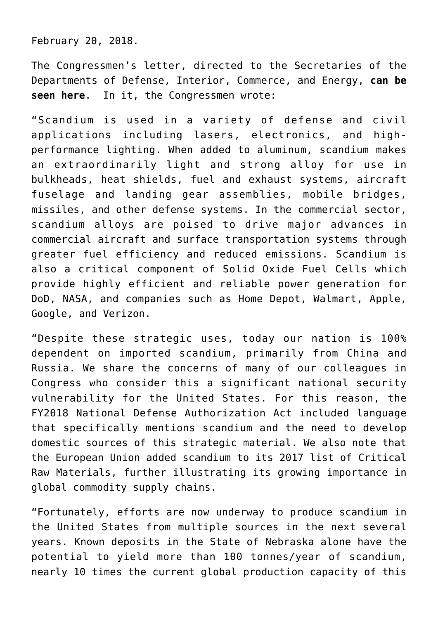February 20, 2018.

The Congressmen's letter, directed to the Secretaries of the Departments of Defense, Interior, Commerce, and Energy, **[can be](https://www.globenewswire.com/Tracker?data=77xitq-Vp4JnJpV-RxY5Hyu5nNl5BulkkvNfxiQjxBN6k75ZSH0SdJ57tRVYqdh1RMbmluHTIAByuDVu4f4IsBtJ5bF5pfRLNiYtq8anD8ByLR0GTsrh3BG6XcXhdW3WmWevWNTjV8VrwX6gQ0Fcmd5CqjifociBuXITOBt6Rk2X3M5m3d9G8ntvktKUWXFH) [seen here](https://www.globenewswire.com/Tracker?data=77xitq-Vp4JnJpV-RxY5Hyu5nNl5BulkkvNfxiQjxBN6k75ZSH0SdJ57tRVYqdh1RMbmluHTIAByuDVu4f4IsBtJ5bF5pfRLNiYtq8anD8ByLR0GTsrh3BG6XcXhdW3WmWevWNTjV8VrwX6gQ0Fcmd5CqjifociBuXITOBt6Rk2X3M5m3d9G8ntvktKUWXFH)**. In it, the Congressmen wrote:

"Scandium is used in a variety of defense and civil applications including lasers, electronics, and highperformance lighting. When added to aluminum, scandium makes an extraordinarily light and strong alloy for use in bulkheads, heat shields, fuel and exhaust systems, aircraft fuselage and landing gear assemblies, mobile bridges, missiles, and other defense systems. In the commercial sector, scandium alloys are poised to drive major advances in commercial aircraft and surface transportation systems through greater fuel efficiency and reduced emissions. Scandium is also a critical component of Solid Oxide Fuel Cells which provide highly efficient and reliable power generation for DoD, NASA, and companies such as Home Depot, Walmart, Apple, Google, and Verizon.

"Despite these strategic uses, today our nation is 100% dependent on imported scandium, primarily from China and Russia. We share the concerns of many of our colleagues in Congress who consider this a significant national security vulnerability for the United States. For this reason, the FY2018 National Defense Authorization Act included language that specifically mentions scandium and the need to develop domestic sources of this strategic material. We also note that the European Union added scandium to its 2017 list of Critical Raw Materials, further illustrating its growing importance in global commodity supply chains.

"Fortunately, efforts are now underway to produce scandium in the United States from multiple sources in the next several years. Known deposits in the State of Nebraska alone have the potential to yield more than 100 tonnes/year of scandium, nearly 10 times the current global production capacity of this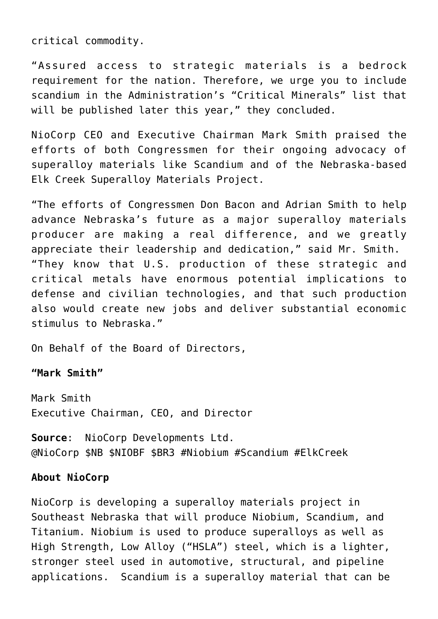critical commodity.

"Assured access to strategic materials is a bedrock requirement for the nation. Therefore, we urge you to include scandium in the Administration's "Critical Minerals" list that will be published later this year," they concluded.

NioCorp CEO and Executive Chairman Mark Smith praised the efforts of both Congressmen for their ongoing advocacy of superalloy materials like Scandium and of the Nebraska-based Elk Creek Superalloy Materials Project.

"The efforts of Congressmen Don Bacon and Adrian Smith to help advance Nebraska's future as a major superalloy materials producer are making a real difference, and we greatly appreciate their leadership and dedication," said Mr. Smith. "They know that U.S. production of these strategic and critical metals have enormous potential implications to defense and civilian technologies, and that such production also would create new jobs and deliver substantial economic stimulus to Nebraska."

On Behalf of the Board of Directors,

**"Mark Smith"**

Mark Smith Executive Chairman, CEO, and Director

**Source**: NioCorp Developments Ltd. @NioCorp \$NB \$NIOBF \$BR3 #Niobium #Scandium #ElkCreek

## **About NioCorp**

NioCorp is developing a superalloy materials project in Southeast Nebraska that will produce Niobium, Scandium, and Titanium. Niobium is used to produce superalloys as well as High Strength, Low Alloy ("HSLA") steel, which is a lighter, stronger steel used in automotive, structural, and pipeline applications. Scandium is a superalloy material that can be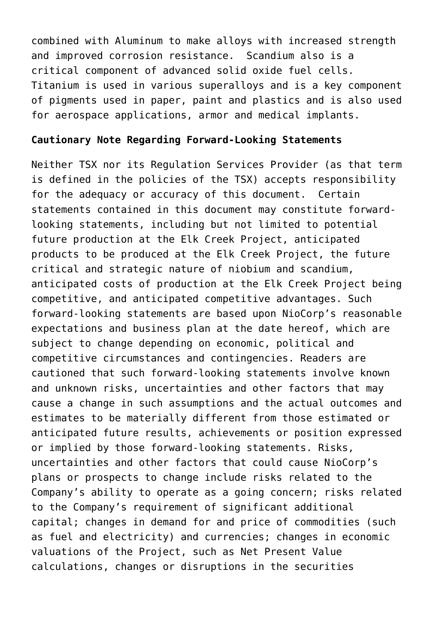combined with Aluminum to make alloys with increased strength and improved corrosion resistance. Scandium also is a critical component of advanced solid oxide fuel cells. Titanium is used in various superalloys and is a key component of pigments used in paper, paint and plastics and is also used for aerospace applications, armor and medical implants.

## **Cautionary Note Regarding Forward-Looking Statements**

Neither TSX nor its Regulation Services Provider (as that term is defined in the policies of the TSX) accepts responsibility for the adequacy or accuracy of this document. Certain statements contained in this document may constitute forwardlooking statements, including but not limited to potential future production at the Elk Creek Project, anticipated products to be produced at the Elk Creek Project, the future critical and strategic nature of niobium and scandium, anticipated costs of production at the Elk Creek Project being competitive, and anticipated competitive advantages. Such forward-looking statements are based upon NioCorp's reasonable expectations and business plan at the date hereof, which are subject to change depending on economic, political and competitive circumstances and contingencies. Readers are cautioned that such forward-looking statements involve known and unknown risks, uncertainties and other factors that may cause a change in such assumptions and the actual outcomes and estimates to be materially different from those estimated or anticipated future results, achievements or position expressed or implied by those forward-looking statements. Risks, uncertainties and other factors that could cause NioCorp's plans or prospects to change include risks related to the Company's ability to operate as a going concern; risks related to the Company's requirement of significant additional capital; changes in demand for and price of commodities (such as fuel and electricity) and currencies; changes in economic valuations of the Project, such as Net Present Value calculations, changes or disruptions in the securities